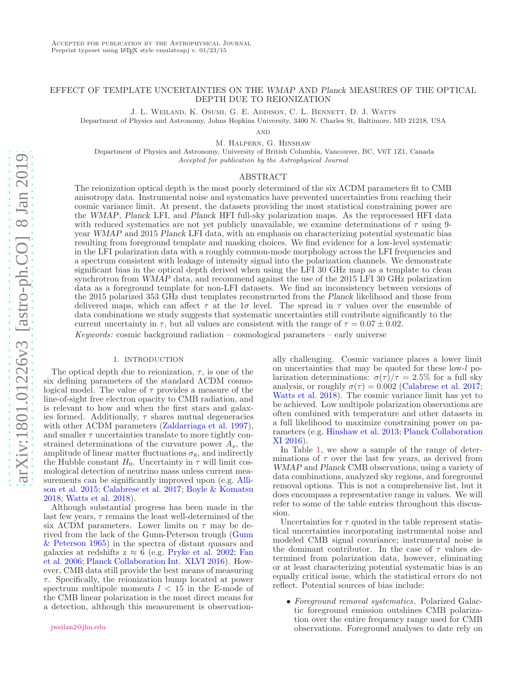# EFFECT OF TEMPLATE UNCERTAINTIES ON THE WMAP AND Planck MEASURES OF THE OPTICAL DEPTH DUE TO REIONIZATION

J. L. Weiland, K. Osumi, G. E. Addison, C. L. Bennett, D. J. Watts

Department of Physics and Astronomy, Johns Hopkins University, 3400 N. Charles St, Baltimore, MD 21218, USA

**AND** 

M. Halpern, G. Hinshaw

Department of Physics and Astronomy, University of British Columbia, Vancouver, BC, V6T 1Z1, Canada Accepted for publication by the Astrophysical Journal

# ABSTRACT

The reionization optical depth is the most poorly determined of the six ΛCDM parameters fit to CMB anisotropy data. Instrumental noise and systematics have prevented uncertainties from reaching their cosmic variance limit. At present, the datasets providing the most statistical constraining power are the WMAP, Planck LFI, and Planck HFI full-sky polarization maps. As the reprocessed HFI data with reduced systematics are not yet publicly unavailable, we examine determinations of  $\tau$  using 9year WMAP and 2015 Planck LFI data, with an emphasis on characterizing potential systematic bias resulting from foreground template and masking choices. We find evidence for a low-level systematic in the LFI polarization data with a roughly common-mode morphology across the LFI frequencies and a spectrum consistent with leakage of intensity signal into the polarization channels. We demonstrate significant bias in the optical depth derived when using the LFI 30 GHz map as a template to clean synchrotron from WMAP data, and recommend against the use of the 2015 LFI 30 GHz polarization data as a foreground template for non-LFI datasets. We find an inconsistency between versions of the 2015 polarized 353 GHz dust templates reconstructed from the Planck likelihood and those from delivered maps, which can affect  $\tau$  at the 1*σ* level. The spread in  $\tau$  values over the ensemble of data combinations we study suggests that systematic uncertainties still contribute significantly to the current uncertainty in  $\tau$ , but all values are consistent with the range of  $\tau = 0.07 \pm 0.02$ .

Keywords: cosmic background radiation – cosmological parameters – early universe

## 1. INTRODUCTION

<span id="page-0-0"></span>The optical depth due to reionization,  $\tau$ , is one of the six defining parameters of the standard ΛCDM cosmological model. The value of  $\tau$  provides a measure of the line-of-sight free electron opacity to CMB radiation, and is relevant to how and when the first stars and galaxies formed. Additionally,  $\tau$  shares mutual degeneracies with other ΛCDM parameters (Zaldarriaga et al. 1997), and smaller  $\tau$  uncertainties translate to more tightly constrained determinations of the curvature power  $A_s$ , the amplitude of linear matter fluctuations  $\sigma_8$ , and indirectly the Hubble constant  $H_0$ . Uncertainty in  $\tau$  will limit cosmological detection of neutrino mass unless current measurements can be significantly improved upon (e.g. Allison et al. 2015; Calabrese et al. 2017; Boyle & Komatsu 2018; Watts et al. 2018).

Although substantial progress has been made in the last few years,  $\tau$  remains the least well-determined of the six  $\Lambda$ CDM parameters. Lower limits on  $\tau$  may be derived from the lack of the Gunn-Peterson trough (Gunn & Peterson 1965) in the spectra of distant quasars and galaxies at redshifts  $z \approx 6$  (e.g. Pryke et al. 2002; Fan et al. 2006; Planck Collaboration Int. XLVI 2016). However, CMB data still provide the best means of measuring  $\tau$ . Specifically, the reionization bump located at power spectrum multipole moments  $l < 15$  in the E-mode of the CMB linear polarization is the most direct means for a detection, although this measurement is observation-

ally challenging. Cosmic variance places a lower limit on uncertainties that may be quoted for these low-l polarization determinations:  $\sigma(\tau)/\tau = 2.5\%$  for a full sky analysis, or roughly  $\sigma(\tau) = 0.002$  (Calabrese et al. 2017; Watts et al. 2018). The cosmic variance limit has yet to be achieved. Low multipole polarization observations are often combined with temperature and other datasets in a full likelihood to maximize constraining power on parameters (e.g. Hinshaw et al. 2013; Planck Collaboration XI 2016).

In Table [1,](#page-1-0) we show a sample of the range of determinations of  $\tau$  over the last few years, as derived from WMAP and Planck CMB observations, using a variety of data combinations, analyzed sky regions, and foreground removal options. This is not a comprehensive list, but it does encompass a representative range in values. We will refer to some of the table entries throughout this discussion.

Uncertainties for  $\tau$  quoted in the table represent statistical uncertainties incorporating instrumental noise and modeled CMB signal covariance; instrumental noise is the dominant contributor. In the case of  $\tau$  values determined from polarization data, however, eliminating or at least characterizing potential systematic bias is an equally critical issue, which the statistical errors do not reflect. Potential sources of bias include:

• Foreground removal systematics. Polarized Galactic foreground emission outshines CMB polarization over the entire frequency range used for CMB observations. Foreground analyses to date rely on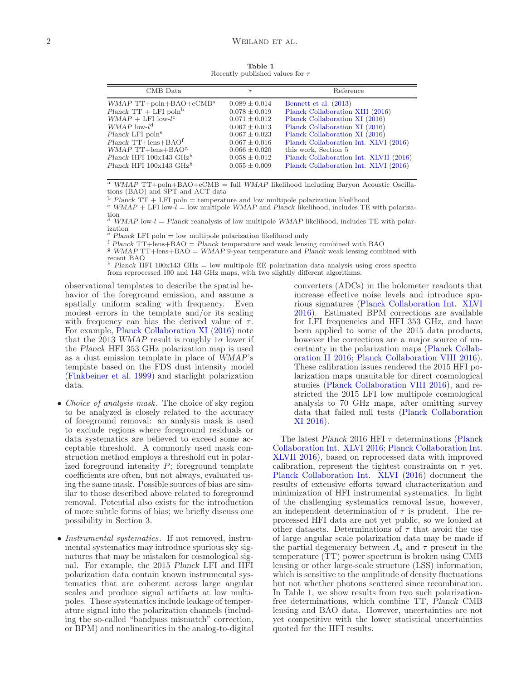Table 1 Recently published values for  $\tau$ 

<span id="page-1-0"></span>

| CMB Data                                                                                                                                                                                                                                                                                                | $\tau$                                                                                                                                                               | Reference                                                                                                                                                                                                                                                                  |  |  |  |
|---------------------------------------------------------------------------------------------------------------------------------------------------------------------------------------------------------------------------------------------------------------------------------------------------------|----------------------------------------------------------------------------------------------------------------------------------------------------------------------|----------------------------------------------------------------------------------------------------------------------------------------------------------------------------------------------------------------------------------------------------------------------------|--|--|--|
| WMAP $TT + \text{poln} + \text{BAO} + \text{cMB}^{\text{a}}$<br>Planck $TT + LFI$ poln <sup>b</sup><br>$WMAP + LFI$ low-l <sup>c</sup><br>WMAP low- $l^{\text{d}}$<br>Planck LFI poln <sup>e</sup><br>Planck TT+lens+BAO <sup>f</sup><br>$WMAP$ TT+lens+BAO <sup>g</sup><br>$Planck$ HFI 100x143 $GHzh$ | $0.089 \pm 0.014$<br>$0.078 \pm 0.019$<br>$0.071 \pm 0.012$<br>$0.067 \pm 0.013$<br>$0.067 \pm 0.023$<br>$0.067 \pm 0.016$<br>$0.066 \pm 0.020$<br>$0.058 \pm 0.012$ | Bennett et al. (2013)<br>Planck Collaboration XIII (2016)<br>Planck Collaboration XI (2016)<br>Planck Collaboration XI (2016)<br>Planck Collaboration XI (2016)<br>Planck Collaboration Int. XLVI (2016)<br>this work, Section 5<br>Planck Collaboration Int. XLVII (2016) |  |  |  |
| $Planck$ HFI 100x143 $GHzh$                                                                                                                                                                                                                                                                             | $0.055 \pm 0.009$                                                                                                                                                    | Planck Collaboration Int. XLVI (2016)                                                                                                                                                                                                                                      |  |  |  |

 $\overline{A}$  WMAP TT+poln+BAO+eCMB = full WMAP likelihood including Baryon Acoustic Oscillations (BAO) and SPT and ACT data

 $b$  Planck TT + LFI poln = temperature and low multipole polarization likelihood

 $\epsilon$  WMAP + LFI low- $l =$  low multipole WMAP and Planck likelihood, includes TE with polariza-

tion<br><sup>d</sup> WMAP low-l = Planck reanalysis of low multipole WMAP likelihood, includes TE with polarization

 $Planck$  LFI poln  $=$  low multipole polarization likelihood only

 $^{\rm f}$  Planck TT+lens+BAO = Planck temperature and weak lensing combined with BAO

 $g$  WMAP TT+lens+BAO = WMAP 9-year temperature and Planck weak lensing combined with recent BAO<br><sup>h</sup> Planck HFI 100x143 GHz = low multipole EE polarization data analysis using cross spectra

from reprocessed 100 and 143 GHz maps, with two slightly different algorithms.

observational templates to describe the spatial behavior of the foreground emission, and assume a spatially uniform scaling with frequency. Even modest errors in the template and/or its scaling with frequency can bias the derived value of  $\tau$ . For example, Planck Collaboration XI (2016) note that the 2013 WMAP result is roughly  $1\sigma$  lower if the Planck HFI 353 GHz polarization map is used as a dust emission template in place of WMAP's template based on the FDS dust intensity model (Finkbeiner et al. 1999) and starlight polarization data.

- Choice of analysis mask. The choice of sky region to be analyzed is closely related to the accuracy of foreground removal: an analysis mask is used to exclude regions where foreground residuals or data systematics are believed to exceed some acceptable threshold. A commonly used mask construction method employs a threshold cut in polarized foreground intensity  $P$ ; foreground template coefficients are often, but not always, evaluated using the same mask. Possible sources of bias are similar to those described above related to foreground removal. Potential also exists for the introduction of more subtle forms of bias; we briefly discuss one possibility in Section 3.
- Instrumental systematics. If not removed, instrumental systematics may introduce spurious sky signatures that may be mistaken for cosmological signal. For example, the 2015 Planck LFI and HFI polarization data contain known instrumental systematics that are coherent across large angular scales and produce signal artifacts at low multipoles. These systematics include leakage of temperature signal into the polarization channels (including the so-called "bandpass mismatch" correction, or BPM) and nonlinearities in the analog-to-digital

converters (ADCs) in the bolometer readouts that increase effective noise levels and introduce spurious signatures (Planck Collaboration Int. XLVI 2016). Estimated BPM corrections are available for LFI frequencies and HFI 353 GHz, and have been applied to some of the 2015 data products, however the corrections are a major source of uncertainty in the polarization maps (Planck Collaboration II 2016; Planck Collaboration VIII 2016). These calibration issues rendered the 2015 HFI polarization maps unsuitable for direct cosmological studies (Planck Collaboration VIII 2016), and restricted the 2015 LFI low multipole cosmological analysis to 70 GHz maps, after omitting survey data that failed null tests (Planck Collaboration XI 2016).

The latest Planck 2016 HFI  $\tau$  determinations (Planck Collaboration Int. XLVI 2016; Planck Collaboration Int. XLVII 2016), based on reprocessed data with improved calibration, represent the tightest constraints on  $\tau$  yet. Planck Collaboration Int. XLVI (2016) document the results of extensive efforts toward characterization and minimization of HFI instrumental systematics. In light of the challenging systematics removal issue, however, an independent determination of  $\tau$  is prudent. The reprocessed HFI data are not yet public, so we looked at other datasets. Determinations of  $\tau$  that avoid the use of large angular scale polarization data may be made if the partial degeneracy between  $A_s$  and  $\tau$  present in the temperature (TT) power spectrum is broken using CMB lensing or other large-scale structure (LSS) information, which is sensitive to the amplitude of density fluctuations but not whether photons scattered since recombination. In Table [1,](#page-1-0) we show results from two such polarizationfree determinations, which combine TT, Planck CMB lensing and BAO data. However, uncertainties are not yet competitive with the lower statistical uncertainties quoted for the HFI results.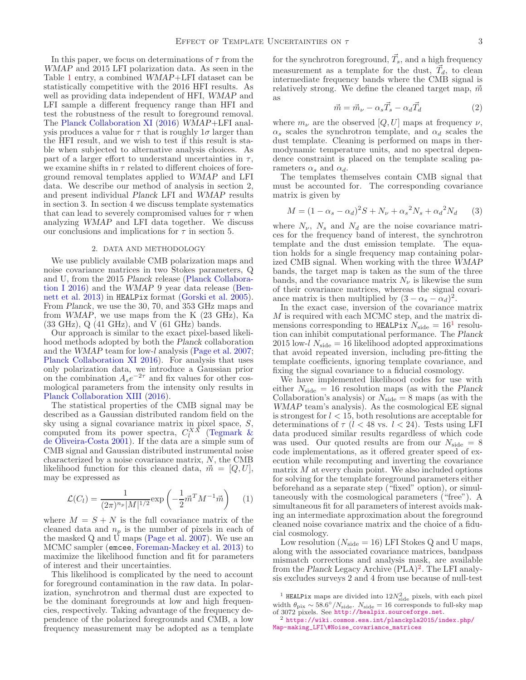In this paper, we focus on determinations of  $\tau$  from the WMAP and 2015 LFI polarization data. As seen in the Table [1](#page-1-0) entry, a combined WMAP+LFI dataset can be statistically competitive with the 2016 HFI results. As well as providing data independent of HFI, WMAP and LFI sample a different frequency range than HFI and test the robustness of the result to foreground removal. The Planck Collaboration XI (2016) WMAP+LFI analysis produces a value for  $\tau$  that is roughly  $1\sigma$  larger than the HFI result, and we wish to test if this result is stable when subjected to alternative analysis choices. As part of a larger effort to understand uncertainties in  $\tau$ , we examine shifts in  $\tau$  related to different choices of foreground removal templates applied to WMAP and LFI data. We describe our method of analysis in section 2, and present individual Planck LFI and WMAP results in section 3. In section 4 we discuss template systematics that can lead to severely compromised values for  $\tau$  when analyzing WMAP and LFI data together. We discuss our conclusions and implications for  $\tau$  in section 5.

#### 2. DATA AND METHODOLOGY

<span id="page-2-2"></span>We use publicly available CMB polarization maps and noise covariance matrices in two Stokes parameters, Q and U, from the 2015 Planck release (Planck Collaboration I 2016) and the WMAP 9 year data release (Bennett et al. 2013) in HEALPix format (Gorski et al. 2005). From Planck, we use the 30, 70, and 353 GHz maps and from WMAP, we use maps from the K (23 GHz), Ka (33 GHz), Q (41 GHz), and V (61 GHz) bands.

Our approach is similar to the exact pixel-based likelihood methods adopted by both the Planck collaboration and the WMAP team for low-l analysis (Page et al. 2007; Planck Collaboration XI 2016). For analysis that uses only polarization data, we introduce a Gaussian prior on the combination  $A_s e^{-2\tau}$  and fix values for other cosmological parameters from the intensity only results in Planck Collaboration XIII (2016).

The statistical properties of the CMB signal may be described as a Gaussian distributed random field on the sky using a signal covariance matrix in pixel space, S, computed from its power spectra,  $C_l^{XX}$  (Tegmark & de Oliveira-Costa 2001). If the data are a simple sum of CMB signal and Gaussian distributed instrumental noise characterized by a noise covariance matrix, N, the CMB likelihood function for this cleaned data,  $\vec{m} = [Q, U],$ may be expressed as

<span id="page-2-3"></span>
$$
\mathcal{L}(C_l) = \frac{1}{(2\pi)^{n_p} |M|^{1/2}} \exp\left(-\frac{1}{2}\vec{m}^T M^{-1} \vec{m}\right) \tag{1}
$$

where  $M = S + N$  is the full covariance matrix of the cleaned data and  $n_p$  is the number of pixels in each of the masked Q and U maps (Page et al. 2007). We use an MCMC sampler (emcee, Foreman-Mackey et al. 2013) to maximize the likelihood function and fit for parameters of interest and their uncertainties.

This likelihood is complicated by the need to account for foreground contamination in the raw data. In polarization, synchrotron and thermal dust are expected to be the dominant foregrounds at low and high frequencies, respectively. Taking advantage of the frequency dependence of the polarized foregrounds and CMB, a low frequency measurement may be adopted as a template

for the synchrotron foreground,  $\vec{T}_s$ , and a high frequency measurement as a template for the dust,  $\vec{T}_d$ , to clean intermediate frequency bands where the CMB signal is relatively strong. We define the cleaned target map,  $\vec{m}$ as

$$
\vec{m} = \vec{m}_{\nu} - \alpha_s \vec{T}_s - \alpha_d \vec{T}_d \tag{2}
$$

where  $m_{\nu}$  are the observed  $[Q, U]$  maps at frequency  $\nu$ ,  $\alpha_s$  scales the synchrotron template, and  $\alpha_d$  scales the dust template. Cleaning is performed on maps in thermodynamic temperature units, and no spectral dependence constraint is placed on the template scaling parameters  $\alpha_s$  and  $\alpha_d$ .

The templates themselves contain CMB signal that must be accounted for. The corresponding covariance matrix is given by

$$
M = (1 - \alpha_s - \alpha_d)^2 S + N_{\nu} + {\alpha_s}^2 N_s + {\alpha_d}^2 N_d
$$
 (3)

where  $N_{\nu}$ ,  $N_{s}$  and  $N_{d}$  are the noise covariance matrices for the frequency band of interest, the synchrotron template and the dust emission template. The equation holds for a single frequency map containing polarized CMB signal. When working with the three WMAP bands, the target map is taken as the sum of the three bands, and the covariance matrix  $N_{\nu}$  is likewise the sum of their covariance matrices, whereas the signal covariance matrix is then multiplied by  $(3 - \alpha_s - \alpha_d)^2$ .

In the exact case, inversion of the covariance matrix M is required with each MCMC step, and the matrix dimensions corresponding to HEALPix  $N_{\text{side}} = 16^1$  $N_{\text{side}} = 16^1$  $N_{\text{side}} = 16^1$  resolution can inhibit computational performance. The Planck 2015 low-l  $N_{\text{side}} = 16$  likelihood adopted approximations that avoid repeated inversion, including pre-fitting the template coefficients, ignoring template covariance, and fixing the signal covariance to a fiducial cosmology.

We have implemented likelihood codes for use with either  $N_{\rm side} = 16$  resolution maps (as with the Planck Collaboration's analysis) or  $N_{\text{side}} = 8$  maps (as with the WMAP team's analysis). As the cosmological EE signal is strongest for  $l < 15$ , both resolutions are acceptable for determinations of  $\tau$  ( $l < 48$  vs.  $l < 24$ ). Tests using LFI data produced similar results regardless of which code was used. Our quoted results are from our  $N_{\text{side}} = 8$ code implementations, as it offered greater speed of execution while recomputing and inverting the covariance matrix  $M$  at every chain point. We also included options for solving for the template foreground parameters either beforehand as a separate step ("fixed" option), or simultaneously with the cosmological parameters ("free"). A simultaneous fit for all parameters of interest avoids making an intermediate approximation about the foreground cleaned noise covariance matrix and the choice of a fiducial cosmology.

Low resolution ( $N_{\text{side}} = 16$ ) LFI Stokes Q and U maps, along with the associated covariance matrices, bandpass mismatch corrections and analysis mask, are available from the Planck Legacy Archive (PLA)<sup>[2](#page-2-1)</sup>. The LFI analysis excludes surveys 2 and 4 from use because of null-test

<span id="page-2-0"></span><sup>&</sup>lt;sup>1</sup> HEALPix maps are divided into  $12N_{\text{side}}^2$  pixels, with each pixel  $\theta_{\text{pix}} \sim 58.6^{\circ}/N_{\text{side}}$ .  $N_{\text{side}} = 16$  corresponds to full-sky map of 3072 pixels. See <http://healpix.sourceforge.net>.<br><sup>2</sup> <https://wiki.cosmos.esa.int/planckpla2015/index.php/>

<span id="page-2-1"></span>[Map-making\\_LFI\#Noise\\_covariance\\_matrices](Map-making_LFI\#Noise_covariance_matrices)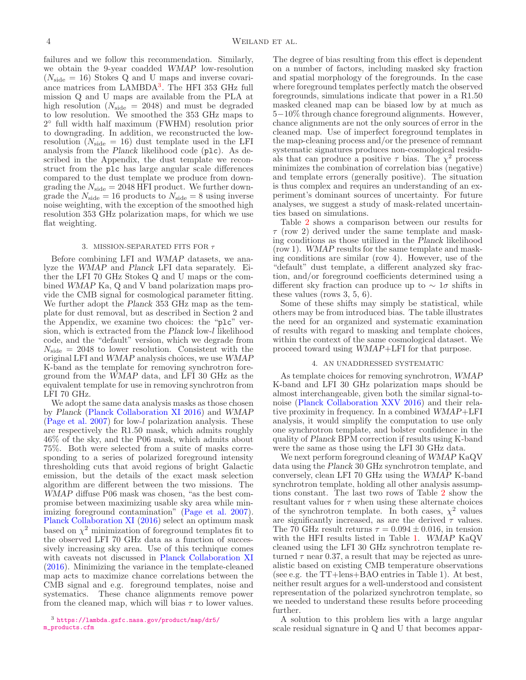failures and we follow this recommendation. Similarly, we obtain the 9-year coadded WMAP low-resolution  $(N_{\rm side} = 16)$  Stokes Q and U maps and inverse covari-ance matrices from LAMBDA<sup>[3](#page-3-0)</sup>. The HFI 353 GHz full mission Q and U maps are available from the PLA at high resolution ( $N_{\text{side}} = 2048$ ) and must be degraded to low resolution. We smoothed the 353 GHz maps to <sup>2</sup> full width half maximum (FWHM) resolution prior to downgrading. In addition, we reconstructed the lowresolution  $(N_{\text{side}} = 16)$  dust template used in the LFI analysis from the Planck likelihood code (plc). As described in the Appendix, the dust template we reconstruct from the plc has large angular scale differences compared to the dust template we produce from downgrading the  $N_{\text{side}} = 2048 \text{ HFI}$  product. We further downgrade the  $N_{\text{side}} = 16$  products to  $N_{\text{side}} = 8$  using inverse noise weighting, with the exception of the smoothed high resolution 353 GHz polarization maps, for which we use flat weighting.

### 3. MISSION-SEPARATED FITS FOR  $\tau$

<span id="page-3-2"></span>Before combining LFI and WMAP datasets, we analyze the WMAP and Planck LFI data separately. Either the LFI 70 GHz Stokes Q and U maps or the combined WMAP Ka, Q and V band polarization maps provide the CMB signal for cosmological parameter fitting. We further adopt the Planck 353 GHz map as the template for dust removal, but as described in Section 2 and the Appendix, we examine two choices: the "plc" version, which is extracted from the Planck low-l likelihood code, and the "default" version, which we degrade from  $N_{\rm side} = 2048$  to lower resolution. Consistent with the original LFI and WMAP analysis choices, we use WMAP K-band as the template for removing synchrotron foreground from the WMAP data, and LFI 30 GHz as the equivalent template for use in removing synchrotron from LFI 70 GHz.

We adopt the same data analysis masks as those chosen by Planck (Planck Collaboration XI 2016) and WMAP (Page et al. 2007) for low-l polarization analysis. These are respectively the R1.50 mask, which admits roughly 46% of the sky, and the P06 mask, which admits about 75%. Both were selected from a suite of masks corresponding to a series of polarized foreground intensity thresholding cuts that avoid regions of bright Galactic emission, but the details of the exact mask selection algorithm are different between the two missions. The WMAP diffuse P06 mask was chosen, "as the best compromise between maximizing usable sky area while minimizing foreground contamination" (Page et al. 2007). Planck Collaboration XI (2016) select an optimum mask based on  $\chi^2$  minimization of foreground templates fit to the observed LFI 70 GHz data as a function of successively increasing sky area. Use of this technique comes with caveats not discussed in Planck Collaboration XI (2016). Minimizing the variance in the template-cleaned map acts to maximize chance correlations between the CMB signal and e.g. foreground templates, noise and systematics. These chance alignments remove power from the cleaned map, which will bias  $\tau$  to lower values.

The degree of bias resulting from this effect is dependent on a number of factors, including masked sky fraction and spatial morphology of the foregrounds. In the case where foreground templates perfectly match the observed foregrounds, simulations indicate that power in a R1.50 masked cleaned map can be biased low by at much as 5−10% through chance foreground alignments. However, chance alignments are not the only sources of error in the cleaned map. Use of imperfect foreground templates in the map-cleaning process and/or the presence of remnant systematic signatures produces non-cosmological residuals that can produce a positive  $\tau$  bias. The  $\chi^2$  process minimizes the combination of correlation bias (negative) and template errors (generally positive). The situation is thus complex and requires an understanding of an experiment's dominant sources of uncertainty. For future analyses, we suggest a study of mask-related uncertainties based on simulations.

Table [2](#page-4-0) shows a comparison between our results for  $\tau$  (row 2) derived under the same template and masking conditions as those utilized in the Planck likelihood (row 1). WMAP results for the same template and masking conditions are similar (row 4). However, use of the "default" dust template, a different analyzed sky fraction, and/or foreground coefficients determined using a different sky fraction can produce up to  $\sim 1\sigma$  shifts in these values (rows 3, 5, 6).

Some of these shifts may simply be statistical, while others may be from introduced bias. The table illustrates the need for an organized and systematic examination of results with regard to masking and template choices, within the context of the same cosmological dataset. We proceed toward using WMAP+LFI for that purpose.

# 4. AN UNADDRESSED SYSTEMATIC

<span id="page-3-1"></span>As template choices for removing synchrotron, WMAP K-band and LFI 30 GHz polarization maps should be almost interchangeable, given both the similar signal-tonoise (Planck Collaboration XXV 2016) and their relative proximity in frequency. In a combined WMAP+LFI analysis, it would simplify the computation to use only one synchrotron template, and bolster confidence in the quality of Planck BPM correction if results using K-band were the same as those using the LFI 30 GHz data.

We next perform foreground cleaning of WMAP KaQV data using the Planck 30 GHz synchrotron template, and conversely, clean LFI 70 GHz using the WMAP K-band synchrotron template, holding all other analysis assumptions constant. The last two rows of Table [2](#page-4-0) show the resultant values for  $\tau$  when using these alternate choices of the synchrotron template. In both cases,  $\chi^2$  values are significantly increased, as are the derived  $\tau$  values. The 70 GHz result returns  $\tau = 0.094 \pm 0.016$ , in tension with the HFI results listed in Table [1.](#page-1-0) WMAP KaQV cleaned using the LFI 30 GHz synchrotron template returned  $\tau$  near 0.37, a result that may be rejected as unrealistic based on existing CMB temperature observations (see e.g. the TT+lens+BAO entries in Table 1). At best, neither result argues for a well-understood and consistent representation of the polarized synchrotron template, so we needed to understand these results before proceeding further.

A solution to this problem lies with a large angular scale residual signature in Q and U that becomes appar-

<span id="page-3-0"></span><sup>3</sup> <https://lambda.gsfc.nasa.gov/product/map/dr5/> [m\\_products.cfm](m_products.cfm)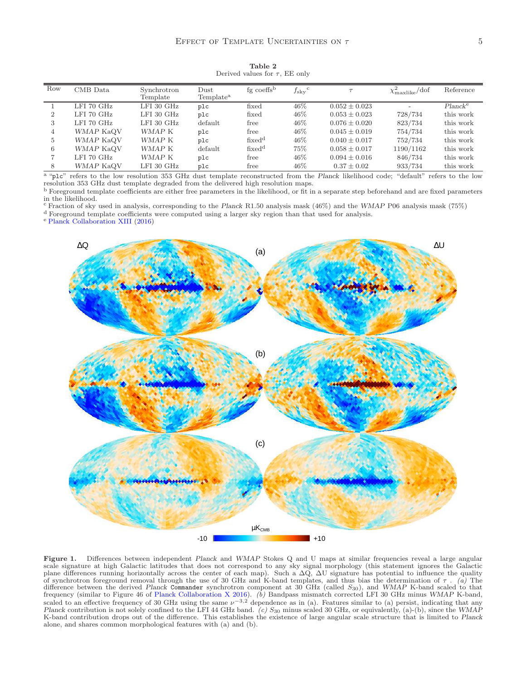<span id="page-4-0"></span>

| Row            | CMB Data       | Synchrotron<br>Template | $_{\text{Dust}}$<br>Template <sup>a</sup> | fg coeffs <sup>b</sup> | $f_{\rm sky}^{\rm c}$ |                   | $\chi^2_{\text{maxlike}}/\text{dof}$ | Reference           |
|----------------|----------------|-------------------------|-------------------------------------------|------------------------|-----------------------|-------------------|--------------------------------------|---------------------|
|                | $LFI$ 70 $GHz$ | $LFI$ 30 $GHz$          | plc                                       | fixed                  | 46\%                  | $0.052 \pm 0.023$ | $\overline{\phantom{a}}$             | Planck <sup>e</sup> |
| $\overline{2}$ | $LFI$ 70 $GHz$ | $LFI$ 30 $GHz$          | plc                                       | fixed                  | 46\%                  | $0.053 \pm 0.023$ | 728/734                              | this work           |
| 3              | LFI 70 $GHz$   | $LFI$ 30 $GHz$          | default                                   | free                   | 46\%                  | $0.076 \pm 0.020$ | 823/734                              | this work           |
| 4              | WMAP KaQV      | WMAP K                  | plc                                       | free                   | 46\%                  | $0.045 \pm 0.019$ | 754/734                              | this work           |
| 5              | WMAP KaQV      | WMAP K                  | plc                                       | fixed <sup>d</sup>     | 46%                   | $0.040 \pm 0.017$ | 752/734                              | this work           |
| 6              | WMAP KaQV      | WMAP K                  | default                                   | fixed <sup>d</sup>     | 75%                   | $0.058 \pm 0.017$ | 1190/1162                            | this work           |
|                | $LFI$ 70 $GHz$ | WMAP K                  | plc                                       | free                   | 46%                   | $0.094 \pm 0.016$ | 846/734                              | this work           |
| 8              | WMAP KaQV      | $LFI$ 30 $GHz$          | plc                                       | free                   | 46%                   | $0.37 \pm 0.02$   | 933/734                              | this work           |

Table 2 Derived values for  $\tau$ , EE only

<sup>a</sup> "plc" refers to the low resolution 353 GHz dust template reconstructed from the Planck likelihood code; "default" refers to the low resolution 353 GHz dust template degraded from the delivered high resolution maps.

<sup>b</sup> Foreground template coefficients are either free parameters in the likelihood, or fit in a separate step beforehand and are fixed parameters in the likelihood.

<sup>c</sup> Fraction of sky used in analysis, corresponding to the Planck R1.50 analysis mask (46%) and the WMAP P06 analysis mask (75%)

<sup>d</sup> Foreground template coefficients were computed using a larger sky region than that used for analysis.

<sup>e</sup> Planck Collaboration XIII (2016)



<span id="page-4-1"></span>Figure 1. Differences between independent Planck and WMAP Stokes Q and U maps at similar frequencies reveal a large angular scale signature at high Galactic latitudes that does not correspond to any sky signal morphology (this statement ignores the Galactic plane differences running horizontally across the center of each map). Such a  $\Delta Q$ ,  $\Delta U$  signature has potential to influence the quality of synchrotron foreground removal through the use of 30 GHz and K-band templates, and thus bias the determination of  $\tau$ . (a) The difference between the derived Planck Commander synchrotron component at 30 GHz (called S<sub>30</sub>), and WMAP K-band scaled to that<br>frequency (similar to Figure 46 of Planck Collaboration X 2016). (b) Bandpass mismatch correcte scaled to an effective frequency of 30 GHz using the same  $\nu^{-3,2}$  dependence as in (a). Features similar to (a) persist, indicating that any Planck contribution is not solely confined to the LFI 44 GHz band. (c)  $S_{30}$  minus scaled 30 GHz, or equivalently, (a)-(b), since the WMAP<br>K-band contribution drops out of the difference. This establishes the existence alone, and shares common morphological features with (a) and (b).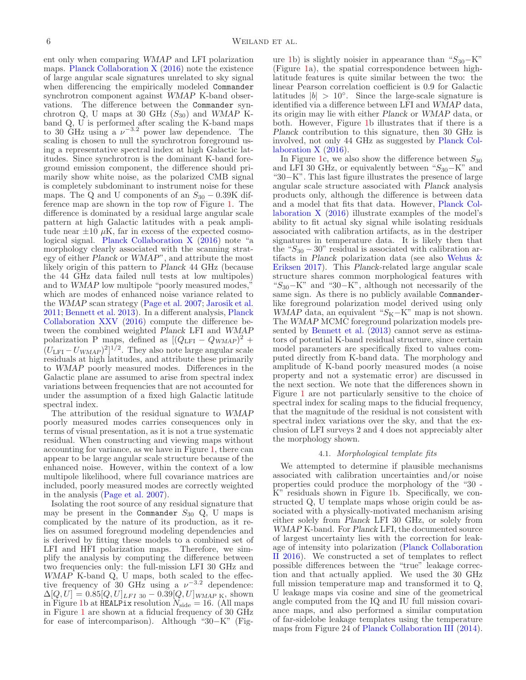ent only when comparing WMAP and LFI polarization maps. Planck Collaboration X (2016) note the existence of large angular scale signatures unrelated to sky signal when differencing the empirically modeled Commander synchrotron component against WMAP K-band observations. The difference between the Commander synchrotron Q, U maps at 30 GHz  $(S_{30})$  and WMAP Kband Q, U is performed after scaling the K-band maps to 30 GHz using a  $\nu^{-3.2}$  power law dependence. The scaling is chosen to null the synchrotron foreground using a representative spectral index at high Galactic latitudes. Since synchrotron is the dominant K-band foreground emission component, the difference should primarily show white noise, as the polarized CMB signal is completely subdominant to instrument noise for these maps. The Q and U components of an  $S_{30} - 0.39K$  difference map are shown in the top row of Figure [1.](#page-4-1) The difference is dominated by a residual large angular scale pattern at high Galactic latitudes with a peak amplitude near  $\pm 10 \mu K$ , far in excess of the expected cosmological signal. Planck Collaboration X (2016) note "a morphology clearly associated with the scanning strategy of either Planck or WMAP", and attribute the most likely origin of this pattern to Planck 44 GHz (because the 44 GHz data failed null tests at low multipoles) and to WMAP low multipole "poorly measured modes," which are modes of enhanced noise variance related to the WMAP scan strategy (Page et al. 2007; Jarosik et al. 2011; Bennett et al. 2013). In a different analysis, Planck Collaboration XXV (2016) compute the difference between the combined weighted Planck LFI and WMAP polarization P maps, defined as  $[(Q_{\text{LFI}} - Q_{WMAP})^2 +$  $(U_{\text{LFI}} - U_{WMAP})^2]^{1/2}$ . They also note large angular scale residuals at high latitudes, and attribute these primarily to WMAP poorly measured modes. Differences in the Galactic plane are assumed to arise from spectral index variations between frequencies that are not accounted for under the assumption of a fixed high Galactic latitude spectral index.

The attribution of the residual signature to WMAP poorly measured modes carries consequences only in terms of visual presentation, as it is not a true systematic residual. When constructing and viewing maps without accounting for variance, as we have in Figure [1,](#page-4-1) there can appear to be large angular scale structure because of the enhanced noise. However, within the context of a low multipole likelihood, where full covariance matrices are included, poorly measured modes are correctly weighted in the analysis (Page et al. 2007).

Isolating the root source of any residual signature that may be present in the Commander  $S_{30}$  Q, U maps is complicated by the nature of its production, as it relies on assumed foreground modeling dependencies and is derived by fitting these models to a combined set of LFI and HFI polarization maps. Therefore, we simplify the analysis by computing the difference between two frequencies only: the full-mission LFI 30 GHz and  $WMAP$ <sup> $\dot{K}$ </sup>-band  $Q$ <sup> $\dot{V}$ </sup> U maps, both scaled to the effective frequency of 30 GHz using a  $\nu^{-3.2}$  dependence:  $\Delta[Q, U] = 0.85 [Q, U]_{LFI \ 30} - 0.39 [Q, U]_{WMAP \ K}$ , shown in Figure [1b](#page-4-1) at  $HELPix$  resolution  $N_{side} = 16$ . (All maps in Figure [1](#page-4-1) are shown at a fiducial frequency of 30 GHz for ease of intercomparison). Although "30−K" (Fig-

ure [1b](#page-4-1)) is slightly noisier in appearance than " $S_{30}$ -K" (Figure [1a](#page-4-1)), the spatial correspondence between highlatitude features is quite similar between the two: the linear Pearson correlation coefficient is 0.9 for Galactic latitudes  $|b| > 10°$ . Since the large-scale signature is identified via a difference between LFI and WMAP data, its origin may lie with either Planck or WMAP data, or both. However, Figure [1b](#page-4-1) illustrates that if there is a Planck contribution to this signature, then 30 GHz is involved, not only 44 GHz as suggested by Planck Collaboration X (2016).

In Figure [1c](#page-4-1), we also show the difference between  $S_{30}$ and LFI 30 GHz, or equivalently between " $S_{30}$ –K" and "30−K". This last figure illustrates the presence of large angular scale structure associated with Planck analysis products only, although the difference is between data and a model that fits that data. However, Planck Collaboration X (2016) illustrate examples of the model's ability to fit actual sky signal while isolating residuals associated with calibration artifacts, as in the destriper signatures in temperature data. It is likely then that the " $S_{30} - 30$ " residual is associated with calibration artifacts in Planck polarization data (see also Wehus & Eriksen 2017). This Planck-related large angular scale structure shares common morphological features with "S30−K" and "30−K", although not necessarily of the same sign. As there is no publicly available Commanderlike foreground polarization model derived using only WMAP data, an equivalent " $S_{K}$ −K" map is not shown. The WMAP MCMC foreground polarization models presented by Bennett et al. (2013) cannot serve as estimators of potential K-band residual structure, since certain model parameters are specifically fixed to values computed directly from K-band data. The morphology and amplitude of K-band poorly measured modes (a noise property and not a systematic error) are discussed in the next section. We note that the differences shown in Figure [1](#page-4-1) are not particularly sensitive to the choice of spectral index for scaling maps to the fiducial frequency, that the magnitude of the residual is not consistent with spectral index variations over the sky, and that the exclusion of LFI surveys 2 and 4 does not appreciably alter the morphology shown.

## 4.1. Morphological template fits

<span id="page-5-0"></span>We attempted to determine if plausible mechanisms associated with calibration uncertainties and/or noise properties could produce the morphology of the "30 - K" residuals shown in Figure [1b](#page-4-1). Specifically, we constructed Q, U template maps whose origin could be associated with a physically-motivated mechanism arising either solely from Planck LFI 30 GHz, or solely from WMAP K-band. For Planck LFI, the documented source of largest uncertainty lies with the correction for leakage of intensity into polarization (Planck Collaboration II 2016). We constructed a set of templates to reflect possible differences between the "true" leakage correction and that actually applied. We used the 30 GHz full mission temperature map and transformed it to Q, U leakage maps via cosine and sine of the geometrical angle computed from the IQ and IU full mission covariance maps, and also performed a similar computation of far-sidelobe leakage templates using the temperature maps from Figure 24 of Planck Collaboration III (2014).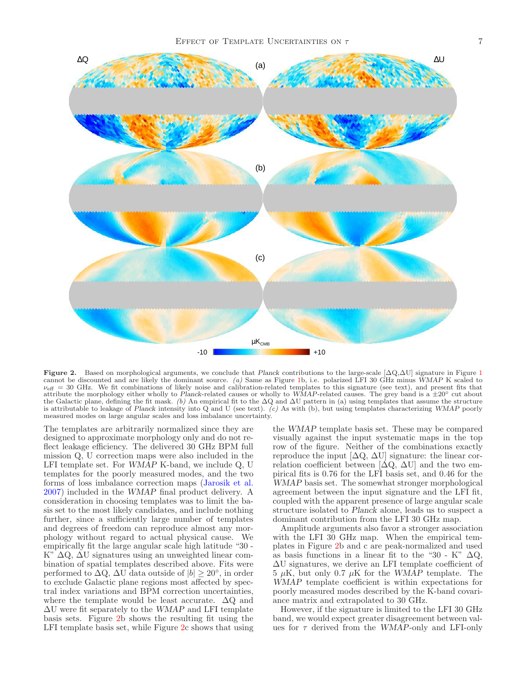

<span id="page-6-0"></span>Figure 2. Based on morphological arguments, we conclude that Planck contributions to the large-scale  $[\Delta Q, \Delta U]$  signature in Figure [1](#page-4-1) cannot be discounted and are likely the dominant source. (a) Same as Figure [1b](#page-4-1), i.e. polarized LFI 30 GHz minus WMAP K scaled to  $\nu_{\text{eff}} = 30 \text{ GHz}$ . We fit combinations of likely noise and calibration-related templates to this signature (see text), and present fits that attribute the morphology either wholly to Planck-related causes or wholly to WMAP-related causes. The grey band is a  $\pm 20°$  cut about the Galactic plane, defining the fit mask. (b) An empirical fit to the  $\Delta Q$  and  $\Delta U$  pattern in (a) using templates that assume the structure is attributable to leakage of Planck intensity into Q and U (see text). (c) As with (b), but using templates characterizing WMAP poorly measured modes on large angular scales and loss imbalance uncertainty.

The templates are arbitrarily normalized since they are designed to approximate morphology only and do not reflect leakage efficiency. The delivered 30 GHz BPM full mission Q, U correction maps were also included in the LFI template set. For WMAP K-band, we include Q, U templates for the poorly measured modes, and the two forms of loss imbalance correction maps (Jarosik et al. 2007) included in the WMAP final product delivery. A consideration in choosing templates was to limit the basis set to the most likely candidates, and include nothing further, since a sufficiently large number of templates and degrees of freedom can reproduce almost any morphology without regard to actual physical cause. We empirically fit the large angular scale high latitude "30 - K" ∆Q, ∆U signatures using an unweighted linear combination of spatial templates described above. Fits were performed to  $\Delta Q$ ,  $\Delta U$  data outside of  $|b| \geq 20^{\circ}$ , in order to exclude Galactic plane regions most affected by spectral index variations and BPM correction uncertainties, where the template would be least accurate.  $\Delta Q$  and  $\Delta U$  were fit separately to the WMAP and LFI template basis sets. Figure [2b](#page-6-0) shows the resulting fit using the LFI template basis set, while Figure [2c](#page-6-0) shows that using

the WMAP template basis set. These may be compared visually against the input systematic maps in the top row of the figure. Neither of the combinations exactly reproduce the input  $[\Delta Q, \Delta U]$  signature: the linear correlation coefficient between  $[\Delta Q, \Delta U]$  and the two empirical fits is 0.76 for the LFI basis set, and 0.46 for the WMAP basis set. The somewhat stronger morphological agreement between the input signature and the LFI fit, coupled with the apparent presence of large angular scale structure isolated to Planck alone, leads us to suspect a dominant contribution from the LFI 30 GHz map.

Amplitude arguments also favor a stronger association with the LFI 30 GHz map. When the empirical templates in Figure [2b](#page-6-0) and c are peak-normalized and used as basis functions in a linear fit to the "30 - K"  $\Delta Q$ , ∆U signatures, we derive an LFI template coefficient of  $5 \mu$ K, but only 0.7  $\mu$ K for the WMAP template. The WMAP template coefficient is within expectations for poorly measured modes described by the K-band covariance matrix and extrapolated to 30 GHz.

However, if the signature is limited to the LFI 30 GHz band, we would expect greater disagreement between values for  $\tau$  derived from the WMAP-only and LFI-only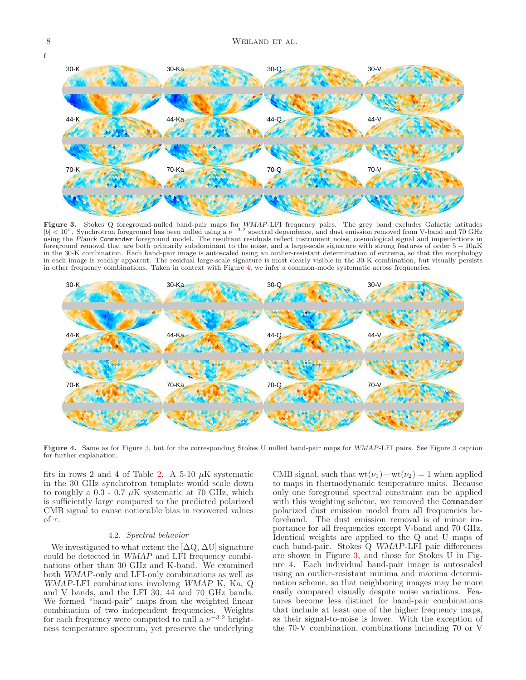

<span id="page-7-1"></span>Figure 3. Stokes Q foreground-nulled band-pair maps for WMAP-LFI frequency pairs. The grey band excludes Galactic latitudes  $|b| < 10°$ . Synchrotron foreground has been nulled using a  $\nu^{-3.2}$  spectral dependence, and dust emission removed from V-band and 70 GHz using the Planck Commander foreground model. The resultant residuals reflect instrument noise, cosmological signal and imperfections in foreground removal that are both primarily subdominant to the noise, and a large-scale signature with strong features of order  $5 - 10\mu$ K in the 30-K combination. Each band-pair image is autoscaled using an outlier-resistant determination of extrema, so that the morphology in each image is readily apparent. The residual large-scale signature is most clearly visible in the 30-K combination, but visually persists in other frequency combinations. Taken in context with Figure [4,](#page-7-0) we infer a common-mode systematic across frequencies.



<span id="page-7-0"></span>Figure 4. Same as for Figure [3,](#page-7-1) but for the corresponding Stokes U nulled band-pair maps for WMAP-LFI pairs. See Figure [3](#page-7-1) caption for further explanation.

fits in rows 2 and 4 of Table [2.](#page-4-0) A 5-10  $\mu$ K systematic in the 30 GHz synchrotron template would scale down to roughly a  $0.3$  -  $0.7 \mu K$  systematic at 70 GHz, which is sufficiently large compared to the predicted polarized CMB signal to cause noticeable bias in recovered values of  $\tau.$ 

### 4.2. Spectral behavior

<span id="page-7-2"></span>We investigated to what extent the  $[\Delta Q, \Delta U]$  signature could be detected in WMAP and LFI frequency combinations other than 30 GHz and K-band. We examined both WMAP-only and LFI-only combinations as well as WMAP-LFI combinations involving WMAP K, Ka, Q and V bands, and the LFI 30, 44 and 70 GHz bands. We formed "band-pair" maps from the weighted linear combination of two independent frequencies. Weights for each frequency were computed to null a  $\nu^{-3.2}$  brightness temperature spectrum, yet preserve the underlying

CMB signal, such that  $wt(\nu_1) + wt(\nu_2) = 1$  when applied to maps in thermodynamic temperature units. Because only one foreground spectral constraint can be applied with this weighting scheme, we removed the Commander polarized dust emission model from all frequencies beforehand. The dust emission removal is of minor importance for all frequencies except V-band and 70 GHz. Identical weights are applied to the Q and U maps of each band-pair. Stokes Q WMAP-LFI pair differences are shown in Figure [3,](#page-7-1) and those for Stokes U in Figure [4.](#page-7-0) Each individual band-pair image is autoscaled using an outlier-resistant minima and maxima determination scheme, so that neighboring images may be more easily compared visually despite noise variations. Features become less distinct for band-pair combinations that include at least one of the higher frequency maps, as their signal-to-noise is lower. With the exception of the 70-V combination, combinations including 70 or V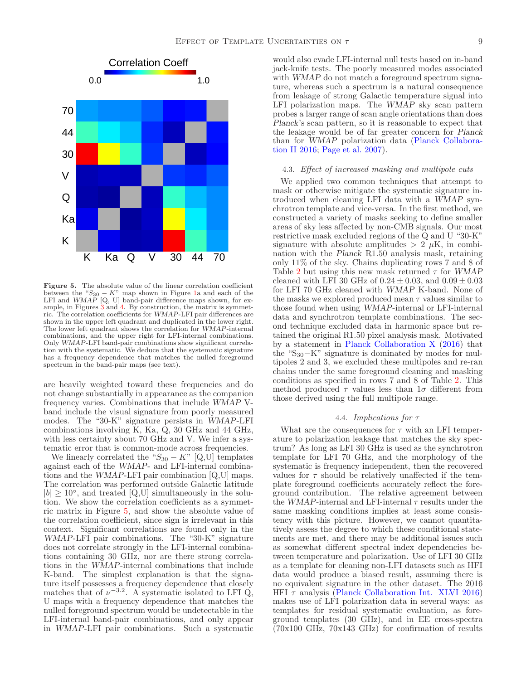

<span id="page-8-0"></span>Figure 5. The absolute value of the linear correlation coefficient between the " $S_{30} - K$ " map shown in Figure [1a](#page-4-1) and each of the LFI and  $WMAP$  [Q, U] band-pair difference maps shown, for example, in Figures [3](#page-7-1) and [4.](#page-7-0) By construction, the matrix is symmetric. The correlation coefficients for WMAP-LFI pair differences are shown in the upper left quadrant and duplicated in the lower right. The lower left quadrant shows the correlation for WMAP-internal combinations, and the upper right for LFI-internal combinations. Only WMAP-LFI band-pair combinations show significant correlation with the systematic. We deduce that the systematic signature has a frequency dependence that matches the nulled foreground spectrum in the band-pair maps (see text).

are heavily weighted toward these frequencies and do not change substantially in appearance as the companion frequency varies. Combinations that include WMAP Vband include the visual signature from poorly measured modes. The "30-K" signature persists in WMAP-LFI combinations involving K, Ka, Q, 30 GHz and 44 GHz, with less certainty about 70 GHz and V. We infer a systematic error that is common-mode across frequencies.

We linearly correlated the " $S_{30} - K$ " [Q,U] templates against each of the WMAP- and LFI-internal combinations and the WMAP-LFI pair combination [Q,U] maps. The correlation was performed outside Galactic latitude  $|b| \geq 10^{\circ}$ , and treated  $[Q,U]$  simultaneously in the solution. We show the correlation coefficients as a symmetric matrix in Figure [5,](#page-8-0) and show the absolute value of the correlation coefficient, since sign is irrelevant in this context. Significant correlations are found only in the WMAP-LFI pair combinations. The "30-K" signature does not correlate strongly in the LFI-internal combinations containing 30 GHz, nor are there strong correlations in the WMAP-internal combinations that include K-band. The simplest explanation is that the signature itself possesses a frequency dependence that closely matches that of  $\nu^{-3.2}$ . A systematic isolated to LFI Q, U maps with a frequency dependence that matches the nulled foreground spectrum would be undetectable in the LFI-internal band-pair combinations, and only appear in WMAP-LFI pair combinations. Such a systematic

would also evade LFI-internal null tests based on in-band jack-knife tests. The poorly measured modes associated with WMAP do not match a foreground spectrum signature, whereas such a spectrum is a natural consequence from leakage of strong Galactic temperature signal into LFI polarization maps. The WMAP sky scan pattern probes a larger range of scan angle orientations than does Planck's scan pattern, so it is reasonable to expect that the leakage would be of far greater concern for Planck than for WMAP polarization data (Planck Collaboration II 2016; Page et al. 2007).

## <span id="page-8-2"></span>4.3. Effect of increased masking and multipole cuts

We applied two common techniques that attempt to mask or otherwise mitigate the systematic signature introduced when cleaning LFI data with a WMAP synchrotron template and vice-versa. In the first method, we constructed a variety of masks seeking to define smaller areas of sky less affected by non-CMB signals. Our most restrictive mask excluded regions of the Q and U "30-K" signature with absolute amplitudes  $> 2 \mu K$ , in combination with the Planck R1.50 analysis mask, retaining only 11% of the sky. Chains duplicating rows 7 and 8 of Table [2](#page-4-0) but using this new mask returned  $\tau$  for WMAP cleaned with LFI 30 GHz of  $0.24 \pm 0.03$ , and  $0.09 \pm 0.03$ for LFI 70 GHz cleaned with WMAP K-band. None of the masks we explored produced mean  $\tau$  values similar to those found when using WMAP-internal or LFI-internal data and synchrotron template combinations. The second technique excluded data in harmonic space but retained the original R1.50 pixel analysis mask. Motivated by a statement in Planck Collaboration X (2016) that the "S30−K" signature is dominated by modes for multipoles 2 and 3, we excluded these multipoles and re-ran chains under the same foreground cleaning and masking conditions as specified in rows 7 and 8 of Table [2.](#page-4-0) This method produced  $\tau$  values less than  $1\sigma$  different from those derived using the full multipole range.

## 4.4. Implications for τ

<span id="page-8-1"></span>What are the consequences for  $\tau$  with an LFI temperature to polarization leakage that matches the sky spectrum? As long as LFI 30 GHz is used as the synchrotron template for LFI 70 GHz, and the morphology of the systematic is frequency independent, then the recovered values for  $\tau$  should be relatively unaffected if the template foreground coefficients accurately reflect the foreground contribution. The relative agreement between the WMAP-internal and LFI-internal  $\tau$  results under the same masking conditions implies at least some consistency with this picture. However, we cannot quantitatively assess the degree to which these conditional statements are met, and there may be additional issues such as somewhat different spectral index dependencies between temperature and polarization. Use of LFI 30 GHz as a template for cleaning non-LFI datasets such as HFI data would produce a biased result, assuming there is no equivalent signature in the other dataset. The 2016 HFI  $\tau$  analysis (Planck Collaboration Int. XLVI 2016) makes use of LFI polarization data in several ways: as templates for residual systematic evaluation, as foreground templates (30 GHz), and in EE cross-spectra  $(70x100 \text{ GHz}, 70x143 \text{ GHz})$  for confirmation of results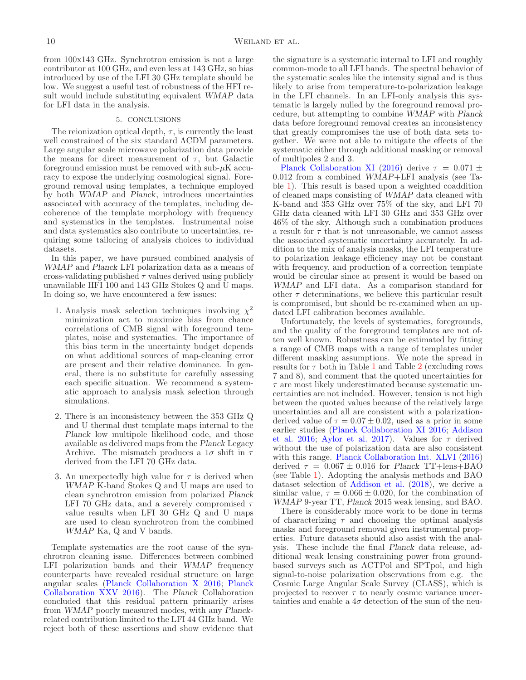from 100x143 GHz. Synchrotron emission is not a large contributor at 100 GHz, and even less at 143 GHz, so bias introduced by use of the LFI 30 GHz template should be low. We suggest a useful test of robustness of the HFI result would include substituting equivalent WMAP data for LFI data in the analysis.

#### 5. CONCLUSIONS

The reionization optical depth,  $\tau$ , is currently the least well constrained of the six standard ΛCDM parameters. Large angular scale microwave polarization data provide the means for direct measurement of  $\tau$ , but Galactic foreground emission must be removed with sub- $\mu$ K accuracy to expose the underlying cosmological signal. Foreground removal using templates, a technique employed by both WMAP and Planck, introduces uncertainties associated with accuracy of the templates, including decoherence of the template morphology with frequency and systematics in the templates. Instrumental noise and data systematics also contribute to uncertainties, requiring some tailoring of analysis choices to individual datasets.

In this paper, we have pursued combined analysis of WMAP and Planck LFI polarization data as a means of cross-validating published  $\tau$  values derived using publicly unavailable HFI 100 and 143 GHz Stokes Q and U maps. In doing so, we have encountered a few issues:

- 1. Analysis mask selection techniques involving  $\chi^2$ minimization act to maximize bias from chance correlations of CMB signal with foreground templates, noise and systematics. The importance of this bias term in the uncertainty budget depends on what additional sources of map-cleaning error are present and their relative dominance. In general, there is no substitute for carefully assessing each specific situation. We recommend a systematic approach to analysis mask selection through simulations.
- 2. There is an inconsistency between the 353 GHz Q and U thermal dust template maps internal to the Planck low multipole likelihood code, and those available as delivered maps from the Planck Legacy Archive. The mismatch produces a  $1\sigma$  shift in  $\tau$ derived from the LFI 70 GHz data.
- <span id="page-9-0"></span>3. An unexpectedly high value for  $\tau$  is derived when WMAP K-band Stokes Q and U maps are used to clean synchrotron emission from polarized Planck LFI 70 GHz data, and a severely compromised  $\tau$ value results when LFI 30 GHz Q and U maps are used to clean synchrotron from the combined WMAP Ka, Q and V bands.

Template systematics are the root cause of the synchrotron cleaning issue. Differences between combined LFI polarization bands and their WMAP frequency counterparts have revealed residual structure on large angular scales (Planck Collaboration X 2016; Planck Collaboration XXV 2016). The Planck Collaboration concluded that this residual pattern primarily arises from WMAP poorly measured modes, with any Planckrelated contribution limited to the LFI 44 GHz band. We reject both of these assertions and show evidence that

the signature is a systematic internal to LFI and roughly common-mode to all LFI bands. The spectral behavior of the systematic scales like the intensity signal and is thus likely to arise from temperature-to-polarization leakage in the LFI channels. In an LFI-only analysis this systematic is largely nulled by the foreground removal procedure, but attempting to combine WMAP with Planck data before foreground removal creates an inconsistency that greatly compromises the use of both data sets together. We were not able to mitigate the effects of the systematic either through additional masking or removal of multipoles 2 and 3.

Planck Collaboration XI (2016) derive  $\tau = 0.071 \pm$ 0.012 from a combined WMAP+LFI analysis (see Table [1\)](#page-1-0). This result is based upon a weighted coaddition of cleaned maps consisting of WMAP data cleaned with K-band and 353 GHz over 75% of the sky, and LFI 70 GHz data cleaned with LFI 30 GHz and 353 GHz over 46% of the sky. Although such a combination produces a result for  $\tau$  that is not unreasonable, we cannot assess the associated systematic uncertainty accurately. In addition to the mix of analysis masks, the LFI temperature to polarization leakage efficiency may not be constant with frequency, and production of a correction template would be circular since at present it would be based on WMAP and LFI data. As a comparison standard for other  $\tau$  determinations, we believe this particular result is compromised, but should be re-examined when an updated LFI calibration becomes available.

Unfortunately, the levels of systematics, foregrounds, and the quality of the foreground templates are not often well known. Robustness can be estimated by fitting a range of CMB maps with a range of templates under different masking assumptions. We note the spread in results for  $\tau$  both in Table [1](#page-1-0) and Table [2](#page-4-0) (excluding rows 7 and 8), and comment that the quoted uncertainties for  $\tau$  are most likely underestimated because systematic uncertainties are not included. However, tension is not high between the quoted values because of the relatively large uncertainties and all are consistent with a polarizationderived value of  $\tau = 0.07 \pm 0.02$ , used as a prior in some earlier studies (Planck Collaboration XI 2016; Addison et al. 2016; Aylor et al. 2017). Values for  $\tau$  derived without the use of polarization data are also consistent with this range. Planck Collaboration Int. XLVI (2016) derived  $\tau = 0.067 \pm 0.016$  for Planck TT+lens+BAO (see Table [1\)](#page-1-0). Adopting the analysis methods and BAO dataset selection of Addison et al. (2018), we derive a similar value,  $\tau = 0.066 \pm 0.020$ , for the combination of WMAP 9-year TT, Planck 2015 weak lensing, and BAO.

There is considerably more work to be done in terms of characterizing  $\tau$  and choosing the optimal analysis masks and foreground removal given instrumental properties. Future datasets should also assist with the analysis. These include the final Planck data release, additional weak lensing constraining power from groundbased surveys such as ACTPol and SPTpol, and high signal-to-noise polarization observations from e.g. the Cosmic Large Angular Scale Survey (CLASS), which is projected to recover  $\tau$  to nearly cosmic variance uncertainties and enable a  $4\sigma$  detection of the sum of the neu-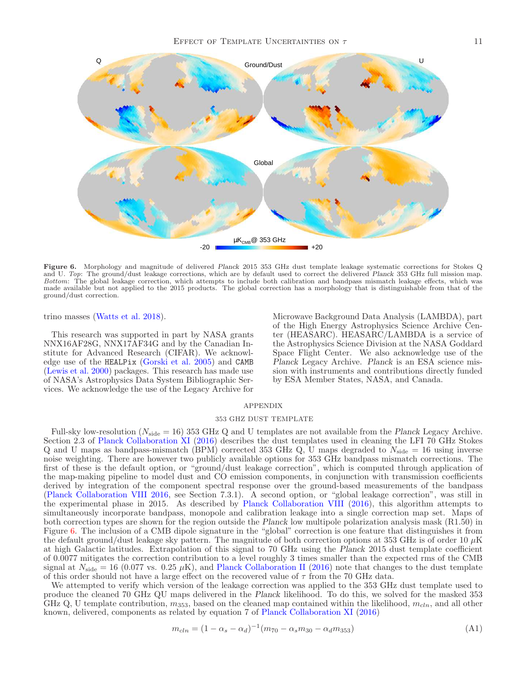

<span id="page-10-0"></span>Figure 6. Morphology and magnitude of delivered Planck 2015 353 GHz dust template leakage systematic corrections for Stokes Q and U. Top: The ground/dust leakage corrections, which are by default used to correct the delivered Planck 353 GHz full mission map. Bottom: The global leakage correction, which attempts to include both calibration and bandpass mismatch leakage effects, which was made available but not applied to the 2015 products. The global correction has a morphology that is distinguishable from that of the ground/dust correction.

trino masses (Watts et al. 2018).

This research was supported in part by NASA grants NNX16AF28G, NNX17AF34G and by the Canadian Institute for Advanced Research (CIFAR). We acknowledge use of the HEALPix (Gorski et al. 2005) and CAMB (Lewis et al. 2000) packages. This research has made use of NASA's Astrophysics Data System Bibliographic Services. We acknowledge the use of the Legacy Archive for

Microwave Background Data Analysis (LAMBDA), part of the High Energy Astrophysics Science Archive Center (HEASARC). HEASARC/LAMBDA is a service of the Astrophysics Science Division at the NASA Goddard Space Flight Center. We also acknowledge use of the Planck Legacy Archive. Planck is an ESA science mission with instruments and contributions directly funded by ESA Member States, NASA, and Canada.

# APPENDIX

### 353 GHZ DUST TEMPLATE

<span id="page-10-1"></span>Full-sky low-resolution ( $N_{\text{side}} = 16$ ) 353 GHz Q and U templates are not available from the Planck Legacy Archive. Section 2.3 of Planck Collaboration XI (2016) describes the dust templates used in cleaning the LFI 70 GHz Stokes Q and U maps as bandpass-mismatch (BPM) corrected 353 GHz Q, U maps degraded to  $N_{\text{side}} = 16$  using inverse noise weighting. There are however two publicly available options for 353 GHz bandpass mismatch corrections. The first of these is the default option, or "ground/dust leakage correction", which is computed through application of the map-making pipeline to model dust and CO emission components, in conjunction with transmission coefficients derived by integration of the component spectral response over the ground-based measurements of the bandpass (Planck Collaboration VIII 2016, see Section 7.3.1). A second option, or "global leakage correction", was still in the experimental phase in 2015. As described by Planck Collaboration VIII (2016), this algorithm attempts to simultaneously incorporate bandpass, monopole and calibration leakage into a single correction map set. Maps of both correction types are shown for the region outside the Planck low multipole polarization analysis mask (R1.50) in Figure [6.](#page-10-0) The inclusion of a CMB dipole signature in the "global" correction is one feature that distinguishes it from the default ground/dust leakage sky pattern. The magnitude of both correction options at 353 GHz is of order 10  $\mu$ K at high Galactic latitudes. Extrapolation of this signal to 70 GHz using the Planck 2015 dust template coefficient of 0.0077 mitigates the correction contribution to a level roughly 3 times smaller than the expected rms of the CMB signal at  $N_{\text{side}} = 16 (0.077 \text{ vs. } 0.25 \mu\text{K})$ , and Planck Collaboration II (2016) note that changes to the dust template of this order should not have a large effect on the recovered value of  $\tau$  from the 70 GHz data.

We attempted to verify which version of the leakage correction was applied to the 353 GHz dust template used to produce the cleaned 70 GHz QU maps delivered in the Planck likelihood. To do this, we solved for the masked 353 GHz Q, U template contribution,  $m_{353}$ , based on the cleaned map contained within the likelihood,  $m_{cln}$ , and all other known, delivered, components as related by equation 7 of Planck Collaboration XI (2016)

<span id="page-10-2"></span>
$$
m_{cln} = (1 - \alpha_s - \alpha_d)^{-1} (m_{70} - \alpha_s m_{30} - \alpha_d m_{353})
$$
\n(A1)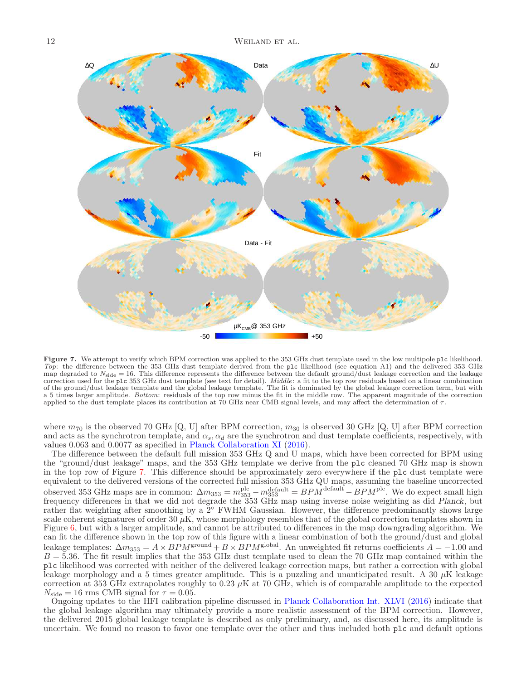

<span id="page-11-0"></span>Figure 7. We attempt to verify which BPM correction was applied to the 353 GHz dust template used in the low multipole plc likelihood. Top: the difference between the 353 GHz dust template derived from the plc likelihood (see equation A1) and the delivered 353 GHz map degraded to  $N_{\text{side}} = 16$ . This difference represents the difference between the default ground/dust leakage correction and the leakage correction used for the plc 353 GHz dust template (see text for detail). *Middle*: a fit to the top row residuals based on a linear combination of the ground/dust leakage template and the global leakage template. The fit is dominated by the global leakage correction term, but with a 5 times larger amplitude. Bottom: residuals of the top row minus the fit in the middle row. The apparent magnitude of the correction applied to the dust template places its contribution at 70 GHz near CMB signal levels, and may affect the determination of  $\tau$ .

where  $m_{70}$  is the observed 70 GHz [Q, U] after BPM correction,  $m_{30}$  is observed 30 GHz [Q, U] after BPM correction and acts as the synchrotron template, and  $\alpha_s$ ,  $\alpha_d$  are the synchrotron and dust template coefficients, respectively, with values 0.063 and 0.0077 as specified in Planck Collaboration XI (2016).

The difference between the default full mission 353 GHz Q and U maps, which have been corrected for BPM using the "ground/dust leakage" maps, and the 353 GHz template we derive from the plc cleaned 70 GHz map is shown in the top row of Figure [7.](#page-11-0) This difference should be approximately zero everywhere if the plc dust template were equivalent to the delivered versions of the corrected full mission 353 GHz QU maps, assuming the baseline uncorrected observed 353 GHz maps are in common:  $\Delta m_{353} = m_{353}^{\text{plc}} - m_{353}^{\text{default}} = BPM^{\text{default}} - BPM^{\text{plc}}$ . We do expect small high frequency differences in that we did not degrade the 353 GHz map using inverse noise weighting as did Planck, but rather flat weighting after smoothing by a 2◦ FWHM Gaussian. However, the difference predominantly shows large scale coherent signatures of order  $30 \mu K$ , whose morphology resembles that of the global correction templates shown in Figure [6,](#page-10-0) but with a larger amplitude, and cannot be attributed to differences in the map downgrading algorithm. We can fit the difference shown in the top row of this figure with a linear combination of both the ground/dust and global leakage templates:  $\Delta m_{353} = A \times BPM^{\text{ground}} + B \times BPM^{\text{global}}$ . An unweighted fit returns coefficients  $A = -1.00$  and  $B = 5.36$ . The fit result implies that the 353 GHz dust template used to clean the 70 GHz map contained within the plc likelihood was corrected with neither of the delivered leakage correction maps, but rather a correction with global leakage morphology and a 5 times greater amplitude. This is a puzzling and unanticipated result. A 30  $\mu$ K leakage correction at 353 GHz extrapolates roughly to 0.23  $\mu$ K at 70 GHz, which is of comparable amplitude to the expected  $N_{\text{side}} = 16 \text{ rms } \text{CMB }$  signal for  $\tau = 0.05$ .

Ongoing updates to the HFI calibration pipeline discussed in Planck Collaboration Int. XLVI (2016) indicate that the global leakage algorithm may ultimately provide a more realistic assessment of the BPM correction. However, the delivered 2015 global leakage template is described as only preliminary, and, as discussed here, its amplitude is uncertain. We found no reason to favor one template over the other and thus included both plc and default options